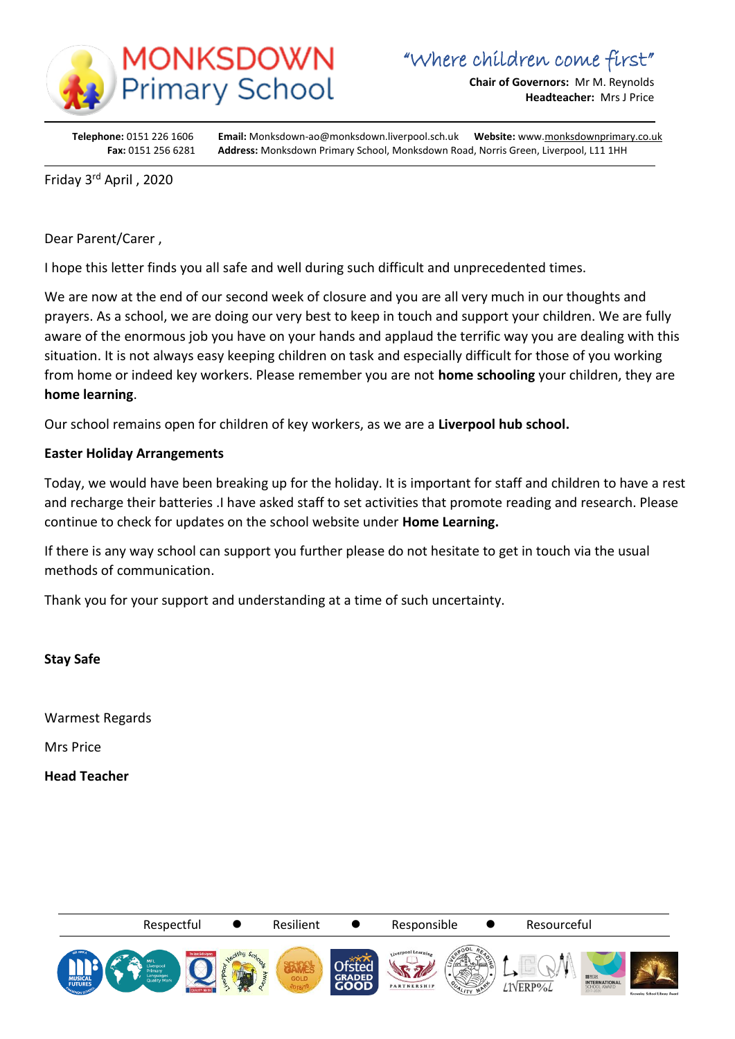

**Chair of Governors:** Mr M. Reynolds **Headteacher:** Mrs J Price

**Telephone:** 0151 226 1606 **Email:** Monksdown-ao@monksdown.liverpool.sch.uk **Website:** www[.monksdownprimary.co.uk](http://www.monksdownprimary.co.uk/) **Fax:** 0151 256 6281 **Address:** Monksdown Primary School, Monksdown Road, Norris Green, Liverpool, L11 1HH

Friday 3<sup>rd</sup> April, 2020

i

Dear Parent/Carer ,

I hope this letter finds you all safe and well during such difficult and unprecedented times.

We are now at the end of our second week of closure and you are all very much in our thoughts and prayers. As a school, we are doing our very best to keep in touch and support your children. We are fully aware of the enormous job you have on your hands and applaud the terrific way you are dealing with this situation. It is not always easy keeping children on task and especially difficult for those of you working from home or indeed key workers. Please remember you are not **home schooling** your children, they are **home learning**.

Our school remains open for children of key workers, as we are a **Liverpool hub school.**

## **Easter Holiday Arrangements**

Today, we would have been breaking up for the holiday. It is important for staff and children to have a rest and recharge their batteries .I have asked staff to set activities that promote reading and research. Please continue to check for updates on the school website under **Home Learning.**

If there is any way school can support you further please do not hesitate to get in touch via the usual methods of communication.

Thank you for your support and understanding at a time of such uncertainty.

**Stay Safe** 

Warmest Regards

Mrs Price

**Head Teacher**

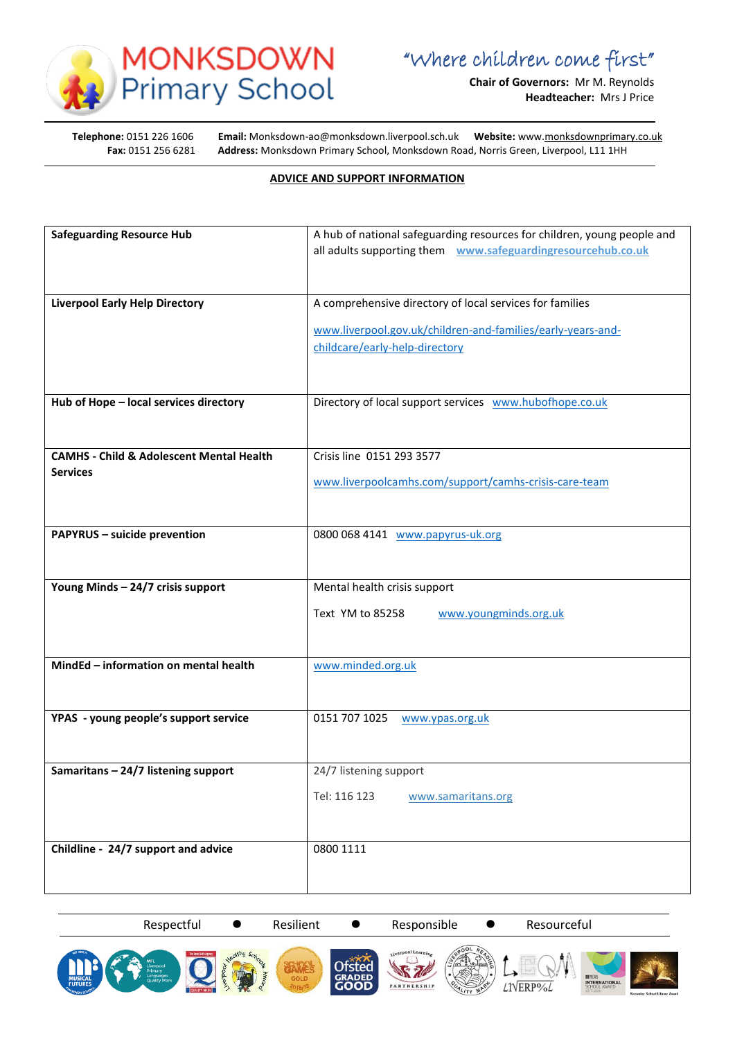

**Chair of Governors:** Mr M. Reynolds **Headteacher:** Mrs J Price

i

**Telephone:** 0151 226 1606 Email: Monksdown-ao@monksdown.liverpool.sch.uk Website: www[.monksdownprimary.co.uk](http://www.monksdownprimary.co.uk/)<br>**Fax:** 0151 256 6281 Address: Monksdown Primary School, Monksdown Road, Norris Green, Liverpool, L11 1HH **Fax:** 0151 256 6281 **Address:** Monksdown Primary School, Monksdown Road, Norris Green, Liverpool, L11 1HH

## **ADVICE AND SUPPORT INFORMATION**

| <b>Safeguarding Resource Hub</b>                    | A hub of national safeguarding resources for children, young people and |
|-----------------------------------------------------|-------------------------------------------------------------------------|
|                                                     | all adults supporting them www.safeguardingresourcehub.co.uk            |
|                                                     |                                                                         |
|                                                     |                                                                         |
| <b>Liverpool Early Help Directory</b>               | A comprehensive directory of local services for families                |
|                                                     |                                                                         |
|                                                     | www.liverpool.gov.uk/children-and-families/early-years-and-             |
|                                                     | childcare/early-help-directory                                          |
|                                                     |                                                                         |
|                                                     |                                                                         |
| Hub of Hope - local services directory              | Directory of local support services www.hubofhope.co.uk                 |
|                                                     |                                                                         |
|                                                     |                                                                         |
| <b>CAMHS - Child &amp; Adolescent Mental Health</b> | Crisis line 0151 293 3577                                               |
| <b>Services</b>                                     | www.liverpoolcamhs.com/support/camhs-crisis-care-team                   |
|                                                     |                                                                         |
|                                                     |                                                                         |
| <b>PAPYRUS - suicide prevention</b>                 | 0800 068 4141 www.papyrus-uk.org                                        |
|                                                     |                                                                         |
|                                                     |                                                                         |
| Young Minds - 24/7 crisis support                   | Mental health crisis support                                            |
|                                                     |                                                                         |
|                                                     | Text YM to 85258<br>www.youngminds.org.uk                               |
|                                                     |                                                                         |
|                                                     |                                                                         |
| MindEd - information on mental health               | www.minded.org.uk                                                       |
|                                                     |                                                                         |
|                                                     |                                                                         |
| YPAS - young people's support service               | 0151 707 1025<br>www.ypas.org.uk                                        |
|                                                     |                                                                         |
|                                                     |                                                                         |
| Samaritans - 24/7 listening support                 | 24/7 listening support                                                  |
|                                                     | Tel: 116 123<br>www.samaritans.org                                      |
|                                                     |                                                                         |
|                                                     |                                                                         |
| Childline - 24/7 support and advice                 | 0800 1111                                                               |
|                                                     |                                                                         |
|                                                     |                                                                         |